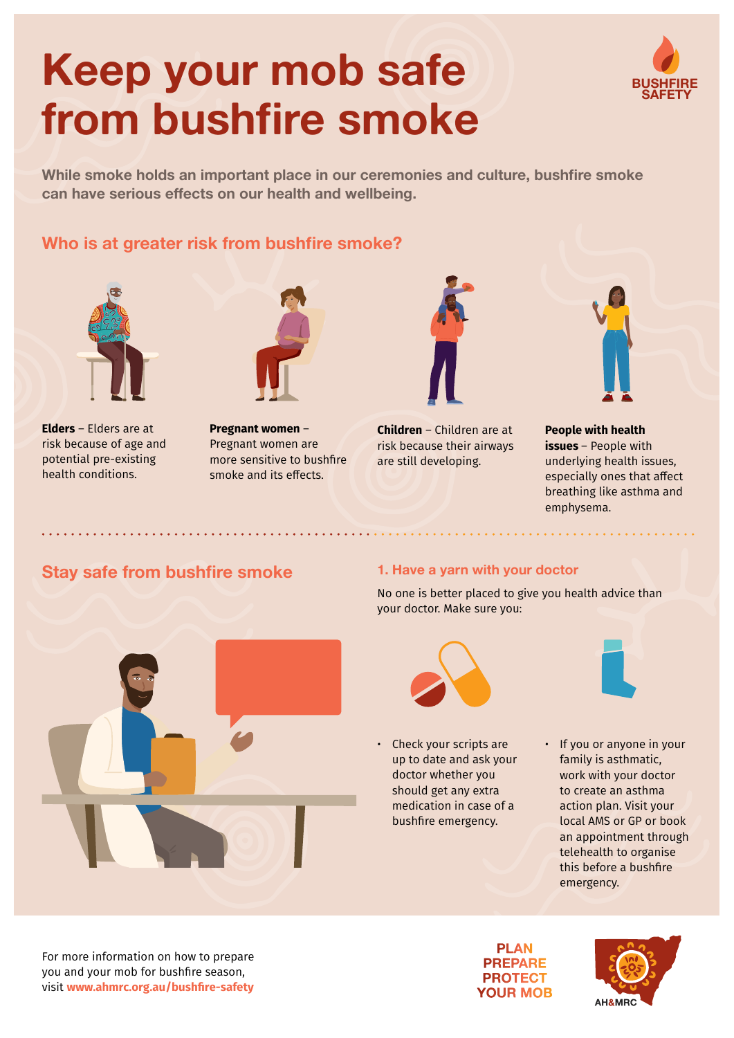# **Keep your mob safe from bushfire smoke**



While smoke holds an important place in our ceremonies and culture, bushfire smoke **can have serious effects on our health and wellbeing.**

# **Who is at greater risk from bushfire smoke?**



**Elders** – Elders are at risk because of age and potential pre-existing health conditions.



**Pregnant women** – Pregnant women are more sensitive to bushfire smoke and its effects.



**Children** – Children are at risk because their airways are still developing.



**People with health issues** – People with underlying health issues, especially ones that affect breathing like asthma and emphysema.

## **Stay safe from bushfire smoke 1. Have a yarn with your doctor**

No one is better placed to give you health advice than your doctor. Make sure you:



• Check your scripts are up to date and ask your doctor whether you should get any extra medication in case of a bushfire emergency.



• If you or anyone in your family is asthmatic, work with your doctor to create an asthma action plan. Visit your local AMS or GP or book an appointment through telehealth to organise this before a bushfire emergency.

For more information on how to prepare you and your mob for bushfire season, visit **[www.ahmrc.org.au](http://www.ahmrc.org.au/bushfire-safety)/bushfire-safety**

**PLAN PREPARE PROTECT YOUR MOB**